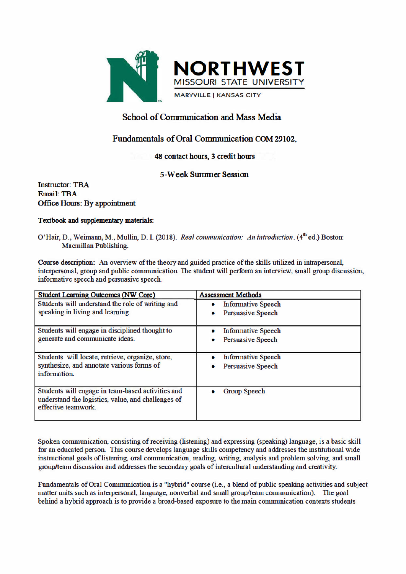

# **School of Communication and Mass Media**

# Fundamentals of Oral Communication COM 29102.

# 48 contact hours, 3 credit hours

## **5-Week Summer Session**

**Instructor: TBA Email: TBA Office Hours: By appointment** 

## Textbook and supplementary materials:

O'Hair, D., Weimann, M., Mullin, D. I. (2018). Real communication: An introduction. (4<sup>th</sup> ed.) Boston: Macmillan Publishing.

Course description: An overview of the theory and guided practice of the skills utilized in intrapersonal. interpersonal, group and public communication. The student will perform an interview, small group discussion, informative speech and persuasive speech.

| <b>Student Learning Outcomes (NW Core)</b>                                                                                     | <b>Assessment Methods</b>     |
|--------------------------------------------------------------------------------------------------------------------------------|-------------------------------|
| Students will understand the role of writing and                                                                               | <b>Informative Speech</b>     |
| speaking in living and learning.                                                                                               | <b>Persuasive Speech</b>      |
| Students will engage in disciplined thought to                                                                                 | <b>Informative Speech</b>     |
| generate and communicate ideas.                                                                                                | <b>Persuasive Speech</b><br>۰ |
| Students will locate, retrieve, organize, store,                                                                               | <b>Informative Speech</b>     |
| synthesize, and annotate various forms of<br>information.                                                                      | <b>Persuasive Speech</b><br>۰ |
| Students will engage in team-based activities and<br>understand the logistics, value, and challenges of<br>effective teamwork. | Group Speech                  |

Spoken communication, consisting of receiving (listening) and expressing (speaking) language, is a basic skill for an educated person. This course develops language skills competency and addresses the institutional wide instructional goals of listening, oral communication, reading, writing, analysis and problem solving, and small group/team discussion and addresses the secondary goals of intercultural understanding and creativity.

Fundamentals of Oral Communication is a "hybrid" course (i.e., a blend of public speaking activities and subject matter units such as interpersonal, language, nonverbal and small group/team communication). The goal behind a hybrid approach is to provide a broad-based exposure to the main communication contexts students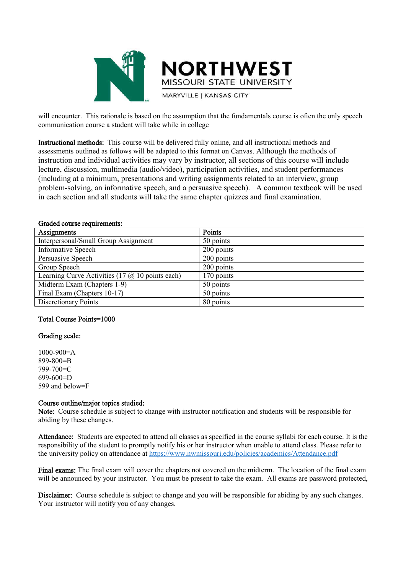



will encounter. This rationale is based on the assumption that the fundamentals course is often the only speech communication course a student will take while in college

Instructional methods: This course will be delivered fully online, and all instructional methods and assessments outlined as follows will be adapted to this format on Canvas. Although the methods of instruction and individual activities may vary by instructor, all sections of this course will include lecture, discussion, multimedia (audio/video), participation activities, and student performances (including at a minimum, presentations and writing assignments related to an interview, group problem-solving, an informative speech, and a persuasive speech). A common textbook will be used in each section and all students will take the same chapter quizzes and final examination.

| Assignments                                              | Points     |
|----------------------------------------------------------|------------|
| Interpersonal/Small Group Assignment                     | 50 points  |
| <b>Informative Speech</b>                                | 200 points |
| Persuasive Speech                                        | 200 points |
| Group Speech                                             | 200 points |
| Learning Curve Activities (17 $\omega$ ) 10 points each) | 170 points |
| Midterm Exam (Chapters 1-9)                              | 50 points  |
| Final Exam (Chapters 10-17)                              | 50 points  |
| <b>Discretionary Points</b>                              | 80 points  |

#### Graded course requirements:

#### Total Course Points=1000

#### Grading scale:

1000-900=A 899-800=B 799-700=C 699-600=D 599 and below=F

### Course outline/major topics studied:

Note: Course schedule is subject to change with instructor notification and students will be responsible for abiding by these changes.

Attendance: Students are expected to attend all classes as specified in the course syllabi for each course. It is the responsibility of the student to promptly notify his or her instructor when unable to attend class. Please refer to the university policy on attendance at https://www.nwmissouri.edu/policies/academics/Attendance.pdf

Final exams: The final exam will cover the chapters not covered on the midterm. The location of the final exam will be announced by your instructor. You must be present to take the exam. All exams are password protected,

Disclaimer: Course schedule is subject to change and you will be responsible for abiding by any such changes. Your instructor will notify you of any changes.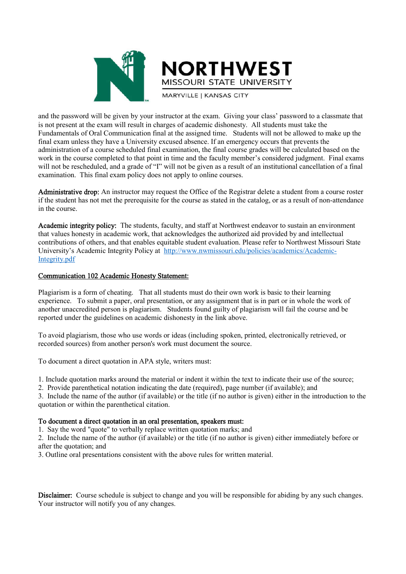

and the password will be given by your instructor at the exam. Giving your class' password to a classmate that is not present at the exam will result in charges of academic dishonesty. All students must take the Fundamentals of Oral Communication final at the assigned time. Students will not be allowed to make up the final exam unless they have a University excused absence. If an emergency occurs that prevents the administration of a course scheduled final examination, the final course grades will be calculated based on the work in the course completed to that point in time and the faculty member's considered judgment. Final exams will not be rescheduled, and a grade of "I" will not be given as a result of an institutional cancellation of a final examination. This final exam policy does not apply to online courses.

Administrative drop: An instructor may request the Office of the Registrar delete a student from a course roster if the student has not met the prerequisite for the course as stated in the catalog, or as a result of non-attendance in the course.

Academic integrity policy: The students, faculty, and staff at Northwest endeavor to sustain an environment that values honesty in academic work, that acknowledges the authorized aid provided by and intellectual contributions of others, and that enables equitable student evaluation. Please refer to Northwest Missouri State University's Academic Integrity Policy at http://www.nwmissouri.edu/policies/academics/Academic-Integrity.pdf

## Communication 102 Academic Honesty Statement:

Plagiarism is a form of cheating. That all students must do their own work is basic to their learning experience. To submit a paper, oral presentation, or any assignment that is in part or in whole the work of another unaccredited person is plagiarism. Students found guilty of plagiarism will fail the course and be reported under the guidelines on academic dishonesty in the link above.

To avoid plagiarism, those who use words or ideas (including spoken, printed, electronically retrieved, or recorded sources) from another person's work must document the source.

To document a direct quotation in APA style, writers must:

1. Include quotation marks around the material or indent it within the text to indicate their use of the source;

2. Provide parenthetical notation indicating the date (required), page number (if available); and

3. Include the name of the author (if available) or the title (if no author is given) either in the introduction to the quotation or within the parenthetical citation.

#### To document a direct quotation in an oral presentation, speakers must:

1. Say the word "quote" to verbally replace written quotation marks; and

2. Include the name of the author (if available) or the title (if no author is given) either immediately before or after the quotation; and

3. Outline oral presentations consistent with the above rules for written material.

Disclaimer: Course schedule is subject to change and you will be responsible for abiding by any such changes. Your instructor will notify you of any changes.